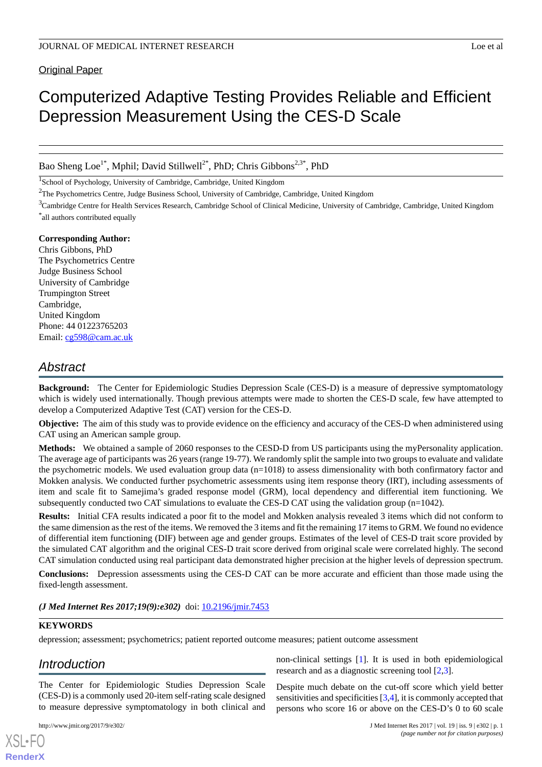**Original Paper** 

# Computerized Adaptive Testing Provides Reliable and Efficient Depression Measurement Using the CES-D Scale

Bao Sheng Loe<sup>1\*</sup>, Mphil; David Stillwell<sup>2\*</sup>, PhD; Chris Gibbons<sup>2,3\*</sup>, PhD

<sup>1</sup>School of Psychology, University of Cambridge, Cambridge, United Kingdom

<sup>2</sup>The Psychometrics Centre, Judge Business School, University of Cambridge, Cambridge, United Kingdom

<sup>3</sup>Cambridge Centre for Health Services Research, Cambridge School of Clinical Medicine, University of Cambridge, Cambridge, United Kingdom \* all authors contributed equally

## **Corresponding Author:**

Chris Gibbons, PhD The Psychometrics Centre Judge Business School University of Cambridge Trumpington Street Cambridge, United Kingdom Phone: 44 01223765203 Email: [cg598@cam.ac.uk](mailto:cg598@cam.ac.uk)

## *Abstract*

**Background:** The Center for Epidemiologic Studies Depression Scale (CES-D) is a measure of depressive symptomatology which is widely used internationally. Though previous attempts were made to shorten the CES-D scale, few have attempted to develop a Computerized Adaptive Test (CAT) version for the CES-D.

**Objective:** The aim of this study was to provide evidence on the efficiency and accuracy of the CES-D when administered using CAT using an American sample group.

**Methods:** We obtained a sample of 2060 responses to the CESD-D from US participants using the myPersonality application. The average age of participants was 26 years (range 19-77). We randomly split the sample into two groups to evaluate and validate the psychometric models. We used evaluation group data  $(n=1018)$  to assess dimensionality with both confirmatory factor and Mokken analysis. We conducted further psychometric assessments using item response theory (IRT), including assessments of item and scale fit to Samejima's graded response model (GRM), local dependency and differential item functioning. We subsequently conducted two CAT simulations to evaluate the CES-D CAT using the validation group (n=1042).

**Results:** Initial CFA results indicated a poor fit to the model and Mokken analysis revealed 3 items which did not conform to the same dimension as the rest of the items. We removed the 3 items and fit the remaining 17 items to GRM. We found no evidence of differential item functioning (DIF) between age and gender groups. Estimates of the level of CES-D trait score provided by the simulated CAT algorithm and the original CES-D trait score derived from original scale were correlated highly. The second CAT simulation conducted using real participant data demonstrated higher precision at the higher levels of depression spectrum.

**Conclusions:** Depression assessments using the CES-D CAT can be more accurate and efficient than those made using the fixed-length assessment.

*(J Med Internet Res 2017;19(9):e302)* doi:  $10.2196/$ jmir.7453

## **KEYWORDS**

depression; assessment; psychometrics; patient reported outcome measures; patient outcome assessment

## *Introduction*

The Center for Epidemiologic Studies Depression Scale (CES-D) is a commonly used 20-item self-rating scale designed to measure depressive symptomatology in both clinical and

[XSL](http://www.w3.org/Style/XSL)•FO **[RenderX](http://www.renderx.com/)**

non-clinical settings [\[1](#page-9-0)]. It is used in both epidemiological research and as a diagnostic screening tool [[2,](#page-9-1)[3](#page-9-2)].

Despite much debate on the cut-off score which yield better sensitivities and specificities [[3,](#page-9-2)[4](#page-10-0)], it is commonly accepted that persons who score 16 or above on the CES-D's 0 to 60 scale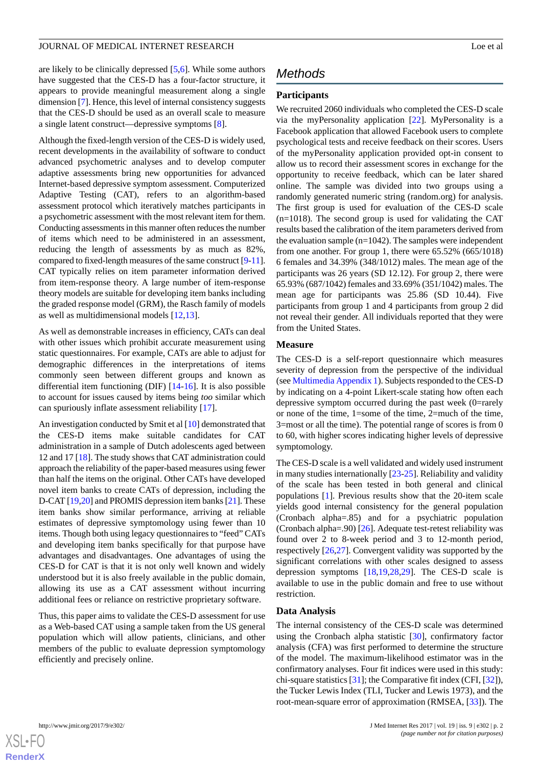are likely to be clinically depressed [\[5](#page-10-1),[6\]](#page-10-2). While some authors have suggested that the CES-D has a four-factor structure, it appears to provide meaningful measurement along a single dimension [[7\]](#page-10-3). Hence, this level of internal consistency suggests that the CES-D should be used as an overall scale to measure a single latent construct—depressive symptoms [\[8\]](#page-10-4).

Although the fixed-length version of the CES-D is widely used, recent developments in the availability of software to conduct advanced psychometric analyses and to develop computer adaptive assessments bring new opportunities for advanced Internet-based depressive symptom assessment. Computerized Adaptive Testing (CAT), refers to an algorithm-based assessment protocol which iteratively matches participants in a psychometric assessment with the most relevant item for them. Conducting assessments in this manner often reduces the number of items which need to be administered in an assessment, reducing the length of assessments by as much as 82%, compared to fixed-length measures of the same construct [\[9](#page-10-5)[-11\]](#page-10-6). CAT typically relies on item parameter information derived from item-response theory. A large number of item-response theory models are suitable for developing item banks including the graded response model (GRM), the Rasch family of models as well as multidimensional models [\[12](#page-10-7),[13\]](#page-10-8).

As well as demonstrable increases in efficiency, CATs can deal with other issues which prohibit accurate measurement using static questionnaires. For example, CATs are able to adjust for demographic differences in the interpretations of items commonly seen between different groups and known as differential item functioning (DIF) [[14-](#page-10-9)[16](#page-10-10)]. It is also possible to account for issues caused by items being *too* similar which can spuriously inflate assessment reliability [[17\]](#page-10-11).

An investigation conducted by Smit et al [\[10](#page-10-12)] demonstrated that the CES-D items make suitable candidates for CAT administration in a sample of Dutch adolescents aged between 12 and 17 [\[18](#page-10-13)]. The study shows that CAT administration could approach the reliability of the paper-based measures using fewer than half the items on the original. Other CATs have developed novel item banks to create CATs of depression, including the D-CAT [[19,](#page-10-14)[20](#page-10-15)] and PROMIS depression item banks [\[21](#page-10-16)]. These item banks show similar performance, arriving at reliable estimates of depressive symptomology using fewer than 10 items. Though both using legacy questionnaires to "feed" CATs and developing item banks specifically for that purpose have advantages and disadvantages. One advantages of using the CES-D for CAT is that it is not only well known and widely understood but it is also freely available in the public domain, allowing its use as a CAT assessment without incurring additional fees or reliance on restrictive proprietary software.

Thus, this paper aims to validate the CES-D assessment for use as a Web-based CAT using a sample taken from the US general population which will allow patients, clinicians, and other members of the public to evaluate depression symptomology efficiently and precisely online.

## *Methods*

## **Participants**

We recruited 2060 individuals who completed the CES-D scale via the myPersonality application [[22\]](#page-10-17). MyPersonality is a Facebook application that allowed Facebook users to complete psychological tests and receive feedback on their scores. Users of the myPersonality application provided opt-in consent to allow us to record their assessment scores in exchange for the opportunity to receive feedback, which can be later shared online. The sample was divided into two groups using a randomly generated numeric string (random.org) for analysis. The first group is used for evaluation of the CES-D scale (n=1018). The second group is used for validating the CAT results based the calibration of the item parameters derived from the evaluation sample  $(n=1042)$ . The samples were independent from one another. For group 1, there were 65.52% (665/1018) 6 females and 34.39% (348/1012) males. The mean age of the participants was 26 years (SD 12.12). For group 2, there were 65.93% (687/1042) females and 33.69% (351/1042) males. The mean age for participants was 25.86 (SD 10.44). Five participants from group 1 and 4 participants from group 2 did not reveal their gender. All individuals reported that they were from the United States.

#### **Measure**

The CES-D is a self-report questionnaire which measures severity of depression from the perspective of the individual (see [Multimedia Appendix 1](#page-9-3)). Subjects responded to the CES-D by indicating on a 4-point Likert-scale stating how often each depressive symptom occurred during the past week (0=rarely or none of the time, 1=some of the time, 2=much of the time, 3=most or all the time). The potential range of scores is from 0 to 60, with higher scores indicating higher levels of depressive symptomology.

The CES-D scale is a well validated and widely used instrument in many studies internationally [[23-](#page-10-18)[25](#page-10-19)]. Reliability and validity of the scale has been tested in both general and clinical populations [\[1](#page-9-0)]. Previous results show that the 20-item scale yields good internal consistency for the general population (Cronbach alpha=.85) and for a psychiatric population (Cronbach alpha=.90)  $[26]$  $[26]$ . Adequate test-retest reliability was found over 2 to 8-week period and 3 to 12-month period, respectively [\[26](#page-10-20),[27\]](#page-10-21). Convergent validity was supported by the significant correlations with other scales designed to assess depression symptoms [\[18](#page-10-13),[19](#page-10-14)[,28](#page-10-22),[29\]](#page-11-0). The CES-D scale is available to use in the public domain and free to use without restriction.

#### **Data Analysis**

The internal consistency of the CES-D scale was determined using the Cronbach alpha statistic [\[30](#page-11-1)], confirmatory factor analysis (CFA) was first performed to determine the structure of the model. The maximum-likelihood estimator was in the confirmatory analyses. Four fit indices were used in this study: chi-square statistics [[31\]](#page-11-2); the Comparative fit index (CFI, [[32\]](#page-11-3)), the Tucker Lewis Index (TLI, Tucker and Lewis 1973), and the root-mean-square error of approximation (RMSEA, [[33\]](#page-11-4)). The

 $XS$  • FC **[RenderX](http://www.renderx.com/)**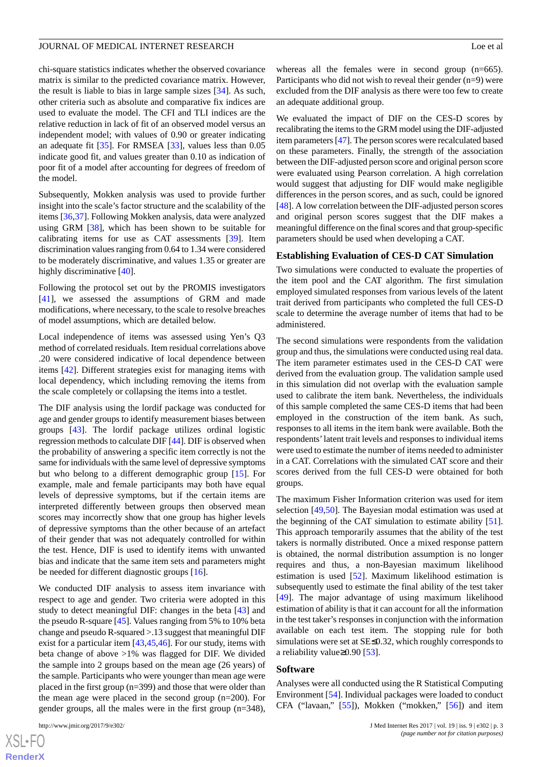chi-square statistics indicates whether the observed covariance matrix is similar to the predicted covariance matrix. However, the result is liable to bias in large sample sizes [[34\]](#page-11-5). As such, other criteria such as absolute and comparative fix indices are used to evaluate the model. The CFI and TLI indices are the relative reduction in lack of fit of an observed model versus an independent model; with values of 0.90 or greater indicating an adequate fit [[35\]](#page-11-6). For RMSEA [\[33](#page-11-4)], values less than 0.05 indicate good fit, and values greater than 0.10 as indication of poor fit of a model after accounting for degrees of freedom of the model.

Subsequently, Mokken analysis was used to provide further insight into the scale's factor structure and the scalability of the items [[36,](#page-11-7)[37](#page-11-8)]. Following Mokken analysis, data were analyzed using GRM [[38\]](#page-11-9), which has been shown to be suitable for calibrating items for use as CAT assessments [[39\]](#page-11-10). Item discrimination values ranging from 0.64 to 1.34 were considered to be moderately discriminative, and values 1.35 or greater are highly discriminative [\[40](#page-11-11)].

Following the protocol set out by the PROMIS investigators [[41\]](#page-11-12), we assessed the assumptions of GRM and made modifications, where necessary, to the scale to resolve breaches of model assumptions, which are detailed below.

Local independence of items was assessed using Yen's Q3 method of correlated residuals. Item residual correlations above .20 were considered indicative of local dependence between items [[42\]](#page-11-13). Different strategies exist for managing items with local dependency, which including removing the items from the scale completely or collapsing the items into a testlet.

The DIF analysis using the lordif package was conducted for age and gender groups to identify measurement biases between groups [[43\]](#page-11-14). The lordif package utilizes ordinal logistic regression methods to calculate DIF [\[44](#page-11-15)]. DIF is observed when the probability of answering a specific item correctly is not the same for individuals with the same level of depressive symptoms but who belong to a different demographic group [[15\]](#page-10-23). For example, male and female participants may both have equal levels of depressive symptoms, but if the certain items are interpreted differently between groups then observed mean scores may incorrectly show that one group has higher levels of depressive symptoms than the other because of an artefact of their gender that was not adequately controlled for within the test. Hence, DIF is used to identify items with unwanted bias and indicate that the same item sets and parameters might be needed for different diagnostic groups [[16\]](#page-10-10).

We conducted DIF analysis to assess item invariance with respect to age and gender. Two criteria were adopted in this study to detect meaningful DIF: changes in the beta [[43\]](#page-11-14) and the pseudo R-square [[45\]](#page-11-16). Values ranging from 5% to 10% beta change and pseudo R-squared >.13 suggest that meaningful DIF exist for a particular item [[43](#page-11-14)[,45](#page-11-16),[46\]](#page-11-17). For our study, items with beta change of above >1% was flagged for DIF. We divided the sample into 2 groups based on the mean age (26 years) of the sample. Participants who were younger than mean age were placed in the first group (n=399) and those that were older than the mean age were placed in the second group (n=200). For gender groups, all the males were in the first group (n=348),

whereas all the females were in second group (n=665). Participants who did not wish to reveal their gender  $(n=9)$  were excluded from the DIF analysis as there were too few to create an adequate additional group.

We evaluated the impact of DIF on the CES-D scores by recalibrating the items to the GRM model using the DIF-adjusted item parameters [\[47\]](#page-11-18). The person scores were recalculated based on these parameters. Finally, the strength of the association between the DIF-adjusted person score and original person score were evaluated using Pearson correlation. A high correlation would suggest that adjusting for DIF would make negligible differences in the person scores, and as such, could be ignored [[48\]](#page-11-19). A low correlation between the DIF-adjusted person scores and original person scores suggest that the DIF makes a meaningful difference on the final scores and that group-specific parameters should be used when developing a CAT.

#### **Establishing Evaluation of CES-D CAT Simulation**

Two simulations were conducted to evaluate the properties of the item pool and the CAT algorithm. The first simulation employed simulated responses from various levels of the latent trait derived from participants who completed the full CES-D scale to determine the average number of items that had to be administered.

The second simulations were respondents from the validation group and thus, the simulations were conducted using real data. The item parameter estimates used in the CES-D CAT were derived from the evaluation group. The validation sample used in this simulation did not overlap with the evaluation sample used to calibrate the item bank. Nevertheless, the individuals of this sample completed the same CES-D items that had been employed in the construction of the item bank. As such, responses to all items in the item bank were available. Both the respondents'latent trait levels and responses to individual items were used to estimate the number of items needed to administer in a CAT. Correlations with the simulated CAT score and their scores derived from the full CES-D were obtained for both groups.

The maximum Fisher Information criterion was used for item selection [\[49](#page-11-20),[50\]](#page-11-21). The Bayesian modal estimation was used at the beginning of the CAT simulation to estimate ability [[51\]](#page-11-22). This approach temporarily assumes that the ability of the test takers is normally distributed. Once a mixed response pattern is obtained, the normal distribution assumption is no longer requires and thus, a non-Bayesian maximum likelihood estimation is used [[52\]](#page-11-23). Maximum likelihood estimation is subsequently used to estimate the final ability of the test taker [[49\]](#page-11-20). The major advantage of using maximum likelihood estimation of ability is that it can account for all the information in the test taker's responses in conjunction with the information available on each test item. The stopping rule for both simulations were set at SE≤0.32, which roughly corresponds to a reliability value≥0.90 [\[53](#page-11-24)].

#### **Software**

Analyses were all conducted using the R Statistical Computing Environment [[54\]](#page-11-25). Individual packages were loaded to conduct CFA ("lavaan," [[55\]](#page-12-0)), Mokken ("mokken," [\[56](#page-12-1)]) and item

[XSL](http://www.w3.org/Style/XSL)•FO **[RenderX](http://www.renderx.com/)**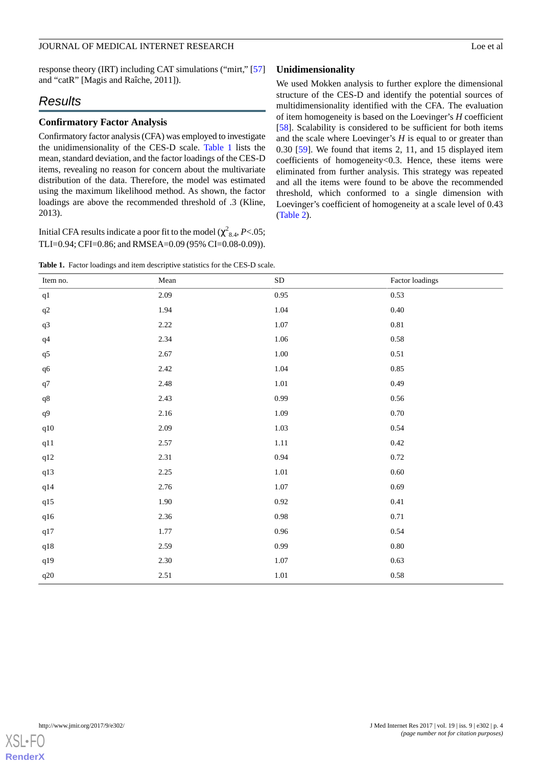response theory (IRT) including CAT simulations ("mirt," [\[57](#page-12-2)] and "catR" [Magis and Raîche, 2011]).

## *Results*

#### **Confirmatory Factor Analysis**

Confirmatory factor analysis (CFA) was employed to investigate the unidimensionality of the CES-D scale. [Table 1](#page-3-0) lists the mean, standard deviation, and the factor loadings of the CES-D items, revealing no reason for concern about the multivariate distribution of the data. Therefore, the model was estimated using the maximum likelihood method. As shown, the factor loadings are above the recommended threshold of .3 (Kline, 2013).

<span id="page-3-0"></span>Initial CFA results indicate a poor fit to the model ( $\chi^2_{8.4}$ , *P*<.05; TLI=0.94; CFI=0.86; and RMSEA=0.09 (95% CI=0.08-0.09)).

**Table 1.** Factor loadings and item descriptive statistics for the CES-D scale.

## **Unidimensionality**

We used Mokken analysis to further explore the dimensional structure of the CES-D and identify the potential sources of multidimensionality identified with the CFA. The evaluation of item homogeneity is based on the Loevinger's *H* coefficient [[58\]](#page-12-3). Scalability is considered to be sufficient for both items and the scale where Loevinger's *H* is equal to or greater than 0.30 [[59\]](#page-12-4). We found that items 2, 11, and 15 displayed item coefficients of homogeneity<0.3. Hence, these items were eliminated from further analysis. This strategy was repeated and all the items were found to be above the recommended threshold, which conformed to a single dimension with Loevinger's coefficient of homogeneity at a scale level of 0.43 ([Table 2](#page-4-0)).

| Item no.  | Mean | ${\rm SD}$ | Factor loadings |
|-----------|------|------------|-----------------|
| $\rm q1$  | 2.09 | 0.95       | 0.53            |
| $\rm q2$  | 1.94 | 1.04       | $0.40\,$        |
| $\rm q3$  | 2.22 | 1.07       | $0.81\,$        |
| $\rm q4$  | 2.34 | $1.06\,$   | $0.58\,$        |
| $\rm q5$  | 2.67 | $1.00\,$   | $0.51\,$        |
| q6        | 2.42 | 1.04       | 0.85            |
| $\rm q7$  | 2.48 | $1.01\,$   | 0.49            |
| $\rm q8$  | 2.43 | 0.99       | $0.56\,$        |
| $\rm q9$  | 2.16 | 1.09       | $0.70\,$        |
| q10       | 2.09 | $1.03\,$   | 0.54            |
| q11       | 2.57 | $1.11\,$   | 0.42            |
| q12       | 2.31 | 0.94       | $0.72\,$        |
| q13       | 2.25 | $1.01\,$   | $0.60\,$        |
| q14       | 2.76 | $1.07\,$   | 0.69            |
| q15       | 1.90 | $0.92\,$   | 0.41            |
| $q16$     | 2.36 | $0.98\,$   | 0.71            |
| q17       | 1.77 | 0.96       | 0.54            |
| $\rm q18$ | 2.59 | 0.99       | $0.80\,$        |
| q19       | 2.30 | $1.07\,$   | 0.63            |
| $q20\,$   | 2.51 | $1.01\,$   | $0.58\,$        |

**[RenderX](http://www.renderx.com/)**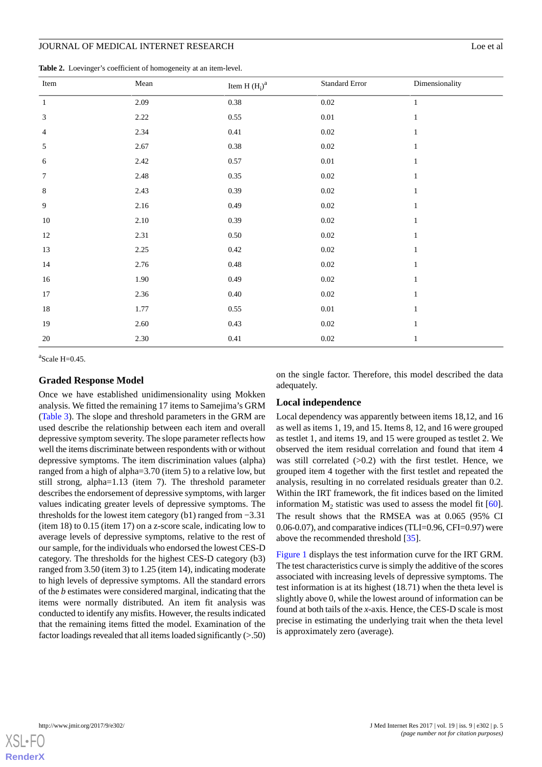#### JOURNAL OF MEDICAL INTERNET RESEARCH LOG EXAMPLE 2001 2002 12:00 PM Log et al.

<span id="page-4-0"></span>**Table 2.** Loevinger's coefficient of homogeneity at an item-level.

| Item             | Mean | Item H $(H_i)^a$ | Standard Error | Dimensionality |  |
|------------------|------|------------------|----------------|----------------|--|
| $\mathbf{1}$     | 2.09 | $0.38\,$         | $0.02\,$       | $\mathbf{1}$   |  |
| $\mathfrak{Z}$   | 2.22 | 0.55             | $0.01\,$       | $\mathbf{1}$   |  |
| $\overline{4}$   | 2.34 | 0.41             | $0.02\,$       | $\mathbf{1}$   |  |
| 5                | 2.67 | $0.38\,$         | $0.02\,$       | $\mathbf{1}$   |  |
| 6                | 2.42 | 0.57             | $0.01\,$       | $\mathbf{1}$   |  |
| $\boldsymbol{7}$ | 2.48 | 0.35             | $0.02\,$       | $\mathbf{1}$   |  |
| $\,8\,$          | 2.43 | 0.39             | $0.02\,$       | $\mathbf{1}$   |  |
| $\overline{9}$   | 2.16 | 0.49             | $0.02\,$       | $\mathbf{1}$   |  |
| 10               | 2.10 | 0.39             | $0.02\,$       | $\mathbf{1}$   |  |
| 12               | 2.31 | $0.50\,$         | $0.02\,$       | $\mathbf{1}$   |  |
| 13               | 2.25 | $0.42\,$         | $0.02\,$       | $\mathbf{1}$   |  |
| 14               | 2.76 | $0.48\,$         | $0.02\,$       | $\mathbf{1}$   |  |
| 16               | 1.90 | 0.49             | $0.02\,$       | $\mathbf{1}$   |  |
| 17               | 2.36 | $0.40\,$         | $0.02\,$       | $\mathbf{1}$   |  |
| 18               | 1.77 | $0.55\,$         | $0.01\,$       | $\mathbf{1}$   |  |
| 19               | 2.60 | 0.43             | $0.02\,$       | $\mathbf{1}$   |  |
| $20\,$           | 2.30 | 0.41             | $0.02\,$       | $\mathbf{1}$   |  |

 $a$ Scale H=0.45.

#### **Graded Response Model**

Once we have established unidimensionality using Mokken analysis. We fitted the remaining 17 items to Samejima's GRM ([Table 3](#page-5-0)). The slope and threshold parameters in the GRM are used describe the relationship between each item and overall depressive symptom severity. The slope parameter reflects how well the items discriminate between respondents with or without depressive symptoms. The item discrimination values (alpha) ranged from a high of alpha=3.70 (item 5) to a relative low, but still strong, alpha=1.13 (item 7). The threshold parameter describes the endorsement of depressive symptoms, with larger values indicating greater levels of depressive symptoms. The thresholds for the lowest item category (b1) ranged from −3.31 (item 18) to 0.15 (item 17) on a z-score scale, indicating low to average levels of depressive symptoms, relative to the rest of our sample, for the individuals who endorsed the lowest CES-D category. The thresholds for the highest CES-D category (b3) ranged from 3.50 (item 3) to 1.25 (item 14), indicating moderate to high levels of depressive symptoms. All the standard errors of the *b* estimates were considered marginal, indicating that the items were normally distributed. An item fit analysis was conducted to identify any misfits. However, the results indicated that the remaining items fitted the model. Examination of the factor loadings revealed that all items loaded significantly (>.50)

on the single factor. Therefore, this model described the data adequately.

#### **Local independence**

Local dependency was apparently between items 18,12, and 16 as well as items 1, 19, and 15. Items 8, 12, and 16 were grouped as testlet 1, and items 19, and 15 were grouped as testlet 2. We observed the item residual correlation and found that item 4 was still correlated  $(0.2)$  with the first testlet. Hence, we grouped item 4 together with the first testlet and repeated the analysis, resulting in no correlated residuals greater than 0.2. Within the IRT framework, the fit indices based on the limited information  $M_2$  statistic was used to assess the model fit [[60\]](#page-12-5). The result shows that the RMSEA was at 0.065 (95% CI 0.06-0.07), and comparative indices (TLI=0.96, CFI=0.97) were above the recommended threshold [[35\]](#page-11-6).

[Figure 1](#page-5-1) displays the test information curve for the IRT GRM. The test characteristics curve is simply the additive of the scores associated with increasing levels of depressive symptoms. The test information is at its highest (18.71) when the theta level is slightly above 0, while the lowest around of information can be found at both tails of the *x*-axis. Hence, the CES-D scale is most precise in estimating the underlying trait when the theta level is approximately zero (average).

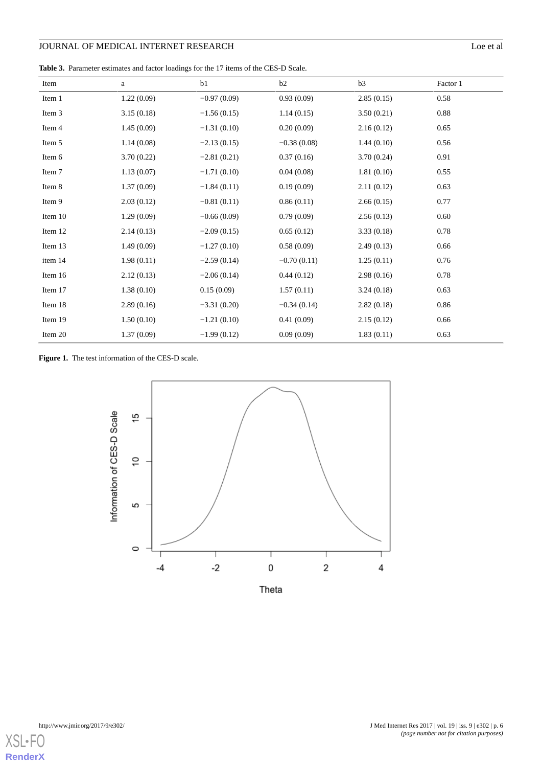<span id="page-5-0"></span>**Table 3.** Parameter estimates and factor loadings for the 17 items of the CES-D Scale.

| Item    | a          | b1            | b2            | b3         | Factor 1 |
|---------|------------|---------------|---------------|------------|----------|
| Item 1  | 1.22(0.09) | $-0.97(0.09)$ | 0.93(0.09)    | 2.85(0.15) | 0.58     |
| Item 3  | 3.15(0.18) | $-1.56(0.15)$ | 1.14(0.15)    | 3.50(0.21) | 0.88     |
| Item 4  | 1.45(0.09) | $-1.31(0.10)$ | 0.20(0.09)    | 2.16(0.12) | 0.65     |
| Item 5  | 1.14(0.08) | $-2.13(0.15)$ | $-0.38(0.08)$ | 1.44(0.10) | 0.56     |
| Item 6  | 3.70(0.22) | $-2.81(0.21)$ | 0.37(0.16)    | 3.70(0.24) | 0.91     |
| Item 7  | 1.13(0.07) | $-1.71(0.10)$ | 0.04(0.08)    | 1.81(0.10) | 0.55     |
| Item 8  | 1.37(0.09) | $-1.84(0.11)$ | 0.19(0.09)    | 2.11(0.12) | 0.63     |
| Item 9  | 2.03(0.12) | $-0.81(0.11)$ | 0.86(0.11)    | 2.66(0.15) | 0.77     |
| Item 10 | 1.29(0.09) | $-0.66(0.09)$ | 0.79(0.09)    | 2.56(0.13) | 0.60     |
| Item 12 | 2.14(0.13) | $-2.09(0.15)$ | 0.65(0.12)    | 3.33(0.18) | 0.78     |
| Item 13 | 1.49(0.09) | $-1.27(0.10)$ | 0.58(0.09)    | 2.49(0.13) | 0.66     |
| item 14 | 1.98(0.11) | $-2.59(0.14)$ | $-0.70(0.11)$ | 1.25(0.11) | 0.76     |
| Item 16 | 2.12(0.13) | $-2.06(0.14)$ | 0.44(0.12)    | 2.98(0.16) | 0.78     |
| Item 17 | 1.38(0.10) | 0.15(0.09)    | 1.57(0.11)    | 3.24(0.18) | 0.63     |
| Item 18 | 2.89(0.16) | $-3.31(0.20)$ | $-0.34(0.14)$ | 2.82(0.18) | 0.86     |
| Item 19 | 1.50(0.10) | $-1.21(0.10)$ | 0.41(0.09)    | 2.15(0.12) | 0.66     |
| Item 20 | 1.37(0.09) | $-1.99(0.12)$ | 0.09(0.09)    | 1.83(0.11) | 0.63     |

<span id="page-5-1"></span>Figure 1. The test information of the CES-D scale.



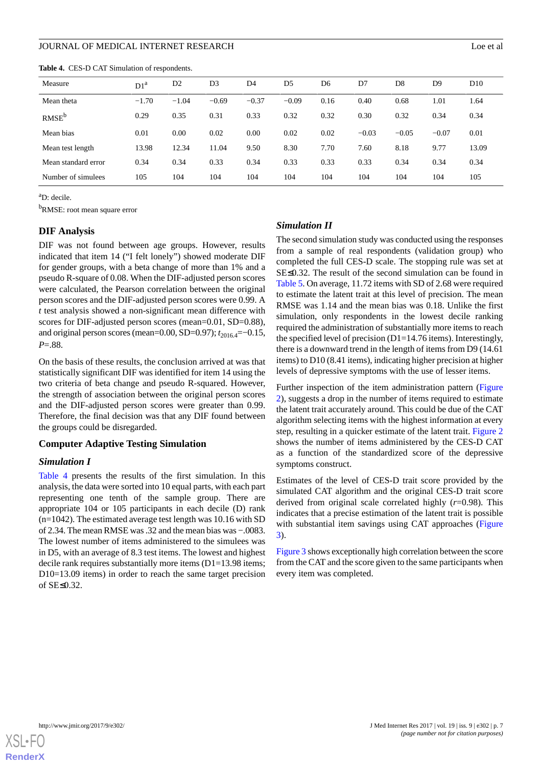<span id="page-6-0"></span>**Table 4.** CES-D CAT Simulation of respondents.

| Measure             | D1 <sup>a</sup> | D <sub>2</sub> | D <sub>3</sub> | D4      | D5      | D6   | D7      | D <sub>8</sub> | D <sub>9</sub> | D10   |
|---------------------|-----------------|----------------|----------------|---------|---------|------|---------|----------------|----------------|-------|
| Mean theta          | $-1.70$         | $-1.04$        | $-0.69$        | $-0.37$ | $-0.09$ | 0.16 | 0.40    | 0.68           | 1.01           | 1.64  |
| RMSE <sup>b</sup>   | 0.29            | 0.35           | 0.31           | 0.33    | 0.32    | 0.32 | 0.30    | 0.32           | 0.34           | 0.34  |
| Mean bias           | 0.01            | 0.00           | 0.02           | 0.00    | 0.02    | 0.02 | $-0.03$ | $-0.05$        | $-0.07$        | 0.01  |
| Mean test length    | 13.98           | 12.34          | 11.04          | 9.50    | 8.30    | 7.70 | 7.60    | 8.18           | 9.77           | 13.09 |
| Mean standard error | 0.34            | 0.34           | 0.33           | 0.34    | 0.33    | 0.33 | 0.33    | 0.34           | 0.34           | 0.34  |
| Number of simulees  | 105             | 104            | 104            | 104     | 104     | 104  | 104     | 104            | 104            | 105   |

<sup>a</sup>D: decile.

<sup>b</sup>RMSE: root mean square error

#### **DIF Analysis**

DIF was not found between age groups. However, results indicated that item 14 ("I felt lonely") showed moderate DIF for gender groups, with a beta change of more than 1% and a pseudo R-square of 0.08. When the DIF-adjusted person scores were calculated, the Pearson correlation between the original person scores and the DIF-adjusted person scores were 0.99. A *t* test analysis showed a non-significant mean difference with scores for DIF-adjusted person scores (mean=0.01, SD=0.88), and original person scores (mean=0.00, SD=0.97); *t*<sub>2016.4</sub>=−0.15, *P*=.88.

On the basis of these results, the conclusion arrived at was that statistically significant DIF was identified for item 14 using the two criteria of beta change and pseudo R-squared. However, the strength of association between the original person scores and the DIF-adjusted person scores were greater than 0.99. Therefore, the final decision was that any DIF found between the groups could be disregarded.

#### **Computer Adaptive Testing Simulation**

#### *Simulation I*

[Table 4](#page-6-0) presents the results of the first simulation. In this analysis, the data were sorted into 10 equal parts, with each part representing one tenth of the sample group. There are appropriate 104 or 105 participants in each decile (D) rank (n=1042). The estimated average test length was 10.16 with SD of 2.34. The mean RMSE was .32 and the mean bias was −.0083. The lowest number of items administered to the simulees was in D5, with an average of 8.3 test items. The lowest and highest decile rank requires substantially more items (D1=13.98 items; D10=13.09 items) in order to reach the same target precision of SE≤0.32.

#### *Simulation II*

The second simulation study was conducted using the responses from a sample of real respondents (validation group) who completed the full CES-D scale. The stopping rule was set at SE≤0.32. The result of the second simulation can be found in [Table 5](#page-7-0). On average, 11.72 items with SD of 2.68 were required to estimate the latent trait at this level of precision. The mean RMSE was 1.14 and the mean bias was 0.18. Unlike the first simulation, only respondents in the lowest decile ranking required the administration of substantially more items to reach the specified level of precision (D1=14.76 items). Interestingly, there is a downward trend in the length of items from D9 (14.61 items) to D10 (8.41 items), indicating higher precision at higher levels of depressive symptoms with the use of lesser items.

Further inspection of the item administration pattern ([Figure](#page-7-1) [2\)](#page-7-1), suggests a drop in the number of items required to estimate the latent trait accurately around. This could be due of the CAT algorithm selecting items with the highest information at every step, resulting in a quicker estimate of the latent trait. [Figure 2](#page-7-1) shows the number of items administered by the CES-D CAT as a function of the standardized score of the depressive symptoms construct.

Estimates of the level of CES-D trait score provided by the simulated CAT algorithm and the original CES-D trait score derived from original scale correlated highly (*r*=0.98). This indicates that a precise estimation of the latent trait is possible with substantial item savings using CAT approaches ([Figure](#page-8-0) [3\)](#page-8-0).

[Figure 3](#page-8-0) shows exceptionally high correlation between the score from the CAT and the score given to the same participants when every item was completed.

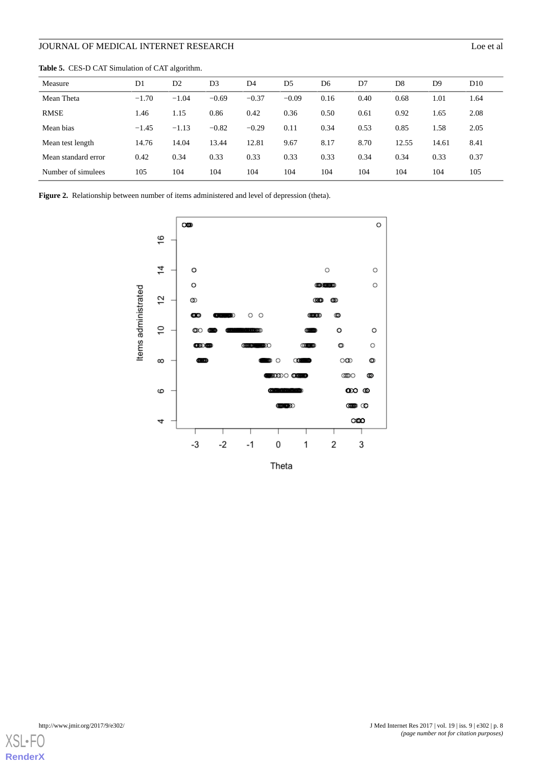Measure D1 D2 D3 D4 D5 D6 D7 D8 D9 D10 Mean Theta −1.70 −1.04 −0.69 −0.37 −0.09 0.16 0.40 0.68 1.01 1.64 RMSE 1.46 1.15 0.86 0.42 0.36 0.50 0.61 0.92 1.65 2.08 Mean bias −1.45 −1.13 −0.82 −0.29 0.11 0.34 0.53 0.85 1.58 2.05 Mean test length 14.76 14.04 13.44 12.81 9.67 8.17 8.70 12.55 14.61 8.41 Mean standard error 0.42 0.34 0.33 0.33 0.33 0.33 0.34 0.34 0.33 0.37 Number of simulees 105 104 104 104 104 104 104 104 104 105

<span id="page-7-0"></span>**Table 5.** CES-D CAT Simulation of CAT algorithm.

<span id="page-7-1"></span>**Figure 2.** Relationship between number of items administered and level of depression (theta).





**[RenderX](http://www.renderx.com/)**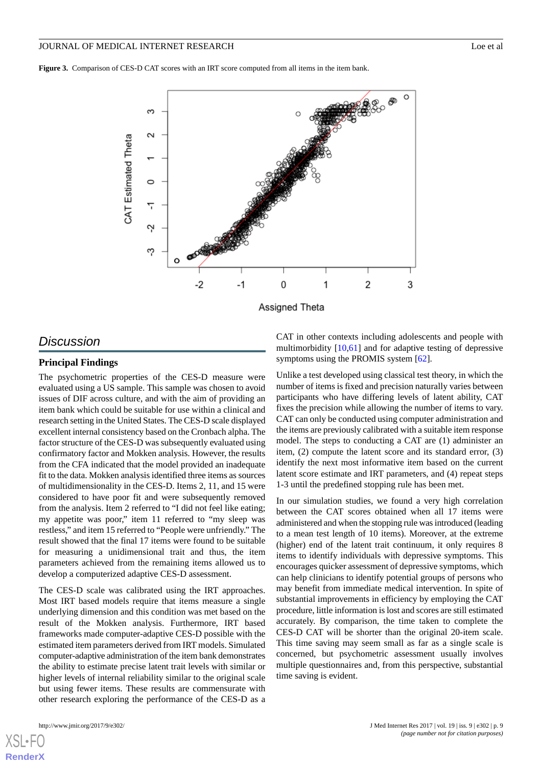#### JOURNAL OF MEDICAL INTERNET RESEARCH LOG EXAMPLE 2001 2002 12:00 PM Log et al.

<span id="page-8-0"></span>**Figure 3.** Comparison of CES-D CAT scores with an IRT score computed from all items in the item bank.



#### Assigned Theta

## *Discussion*

## **Principal Findings**

The psychometric properties of the CES-D measure were evaluated using a US sample. This sample was chosen to avoid issues of DIF across culture, and with the aim of providing an item bank which could be suitable for use within a clinical and research setting in the United States. The CES-D scale displayed excellent internal consistency based on the Cronbach alpha. The factor structure of the CES-D was subsequently evaluated using confirmatory factor and Mokken analysis. However, the results from the CFA indicated that the model provided an inadequate fit to the data. Mokken analysis identified three items as sources of multidimensionality in the CES-D. Items 2, 11, and 15 were considered to have poor fit and were subsequently removed from the analysis. Item 2 referred to "I did not feel like eating; my appetite was poor," item 11 referred to "my sleep was restless," and item 15 referred to "People were unfriendly." The result showed that the final 17 items were found to be suitable for measuring a unidimensional trait and thus, the item parameters achieved from the remaining items allowed us to develop a computerized adaptive CES-D assessment.

The CES-D scale was calibrated using the IRT approaches. Most IRT based models require that items measure a single underlying dimension and this condition was met based on the result of the Mokken analysis. Furthermore, IRT based frameworks made computer-adaptive CES-D possible with the estimated item parameters derived from IRT models. Simulated computer-adaptive administration of the item bank demonstrates the ability to estimate precise latent trait levels with similar or higher levels of internal reliability similar to the original scale but using fewer items. These results are commensurate with other research exploring the performance of the CES-D as a

[XSL](http://www.w3.org/Style/XSL)•FO **[RenderX](http://www.renderx.com/)**

CAT in other contexts including adolescents and people with multimorbidity [[10](#page-10-12)[,61](#page-12-6)] and for adaptive testing of depressive symptoms using the PROMIS system [\[62](#page-12-7)].

Unlike a test developed using classical test theory, in which the number of items is fixed and precision naturally varies between participants who have differing levels of latent ability, CAT fixes the precision while allowing the number of items to vary. CAT can only be conducted using computer administration and the items are previously calibrated with a suitable item response model. The steps to conducting a CAT are (1) administer an item, (2) compute the latent score and its standard error, (3) identify the next most informative item based on the current latent score estimate and IRT parameters, and (4) repeat steps 1-3 until the predefined stopping rule has been met.

In our simulation studies, we found a very high correlation between the CAT scores obtained when all 17 items were administered and when the stopping rule was introduced (leading to a mean test length of 10 items). Moreover, at the extreme (higher) end of the latent trait continuum, it only requires 8 items to identify individuals with depressive symptoms. This encourages quicker assessment of depressive symptoms, which can help clinicians to identify potential groups of persons who may benefit from immediate medical intervention. In spite of substantial improvements in efficiency by employing the CAT procedure, little information is lost and scores are still estimated accurately. By comparison, the time taken to complete the CES-D CAT will be shorter than the original 20-item scale. This time saving may seem small as far as a single scale is concerned, but psychometric assessment usually involves multiple questionnaires and, from this perspective, substantial time saving is evident.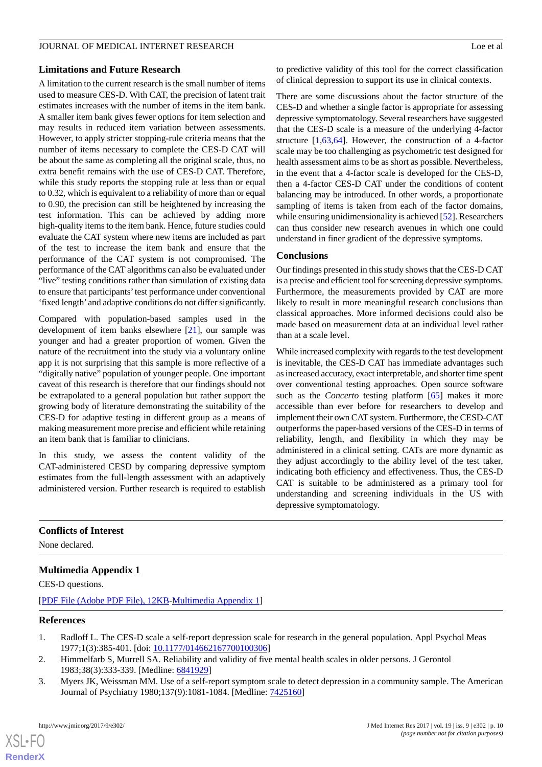## **Limitations and Future Research**

A limitation to the current research is the small number of items used to measure CES-D. With CAT, the precision of latent trait estimates increases with the number of items in the item bank. A smaller item bank gives fewer options for item selection and may results in reduced item variation between assessments. However, to apply stricter stopping-rule criteria means that the number of items necessary to complete the CES-D CAT will be about the same as completing all the original scale, thus, no extra benefit remains with the use of CES-D CAT. Therefore, while this study reports the stopping rule at less than or equal to 0.32, which is equivalent to a reliability of more than or equal to 0.90, the precision can still be heightened by increasing the test information. This can be achieved by adding more high-quality items to the item bank. Hence, future studies could evaluate the CAT system where new items are included as part of the test to increase the item bank and ensure that the performance of the CAT system is not compromised. The performance of the CAT algorithms can also be evaluated under "live" testing conditions rather than simulation of existing data to ensure that participants' test performance under conventional 'fixed length' and adaptive conditions do not differ significantly.

Compared with population-based samples used in the development of item banks elsewhere [\[21](#page-10-16)], our sample was younger and had a greater proportion of women. Given the nature of the recruitment into the study via a voluntary online app it is not surprising that this sample is more reflective of a "digitally native" population of younger people. One important caveat of this research is therefore that our findings should not be extrapolated to a general population but rather support the growing body of literature demonstrating the suitability of the CES-D for adaptive testing in different group as a means of making measurement more precise and efficient while retaining an item bank that is familiar to clinicians.

In this study, we assess the content validity of the CAT-administered CESD by comparing depressive symptom estimates from the full-length assessment with an adaptively administered version. Further research is required to establish

to predictive validity of this tool for the correct classification of clinical depression to support its use in clinical contexts.

There are some discussions about the factor structure of the CES-D and whether a single factor is appropriate for assessing depressive symptomatology. Several researchers have suggested that the CES-D scale is a measure of the underlying 4-factor structure [\[1](#page-9-0),[63](#page-12-8)[,64](#page-12-9)]. However, the construction of a 4-factor scale may be too challenging as psychometric test designed for health assessment aims to be as short as possible. Nevertheless, in the event that a 4-factor scale is developed for the CES-D, then a 4-factor CES-D CAT under the conditions of content balancing may be introduced. In other words, a proportionate sampling of items is taken from each of the factor domains, while ensuring unidimensionality is achieved [[52\]](#page-11-23). Researchers can thus consider new research avenues in which one could understand in finer gradient of the depressive symptoms.

## **Conclusions**

Our findings presented in this study shows that the CES-D CAT is a precise and efficient tool for screening depressive symptoms. Furthermore, the measurements provided by CAT are more likely to result in more meaningful research conclusions than classical approaches. More informed decisions could also be made based on measurement data at an individual level rather than at a scale level.

While increased complexity with regards to the test development is inevitable, the CES-D CAT has immediate advantages such as increased accuracy, exact interpretable, and shorter time spent over conventional testing approaches. Open source software such as the *Concerto* testing platform [\[65](#page-12-10)] makes it more accessible than ever before for researchers to develop and implement their own CAT system. Furthermore, the CESD-CAT outperforms the paper-based versions of the CES-D in terms of reliability, length, and flexibility in which they may be administered in a clinical setting. CATs are more dynamic as they adjust accordingly to the ability level of the test taker, indicating both efficiency and effectiveness. Thus, the CES-D CAT is suitable to be administered as a primary tool for understanding and screening individuals in the US with depressive symptomatology.

## <span id="page-9-3"></span>**Conflicts of Interest**

None declared.

## <span id="page-9-0"></span>**Multimedia Appendix 1**

CES-D questions.

<span id="page-9-1"></span>[[PDF File \(Adobe PDF File\), 12KB-Multimedia Appendix 1](https://jmir.org/api/download?alt_name=jmir_v19i9e302_app1.pdf&filename=b52c7ef1288fe96f41fcca22fa055fd5.pdf)]

#### <span id="page-9-2"></span>**References**

 $XS$  • FO **[RenderX](http://www.renderx.com/)**

- 1. Radloff L. The CES-D scale a self-report depression scale for research in the general population. Appl Psychol Meas 1977;1(3):385-401. [doi: [10.1177/014662167700100306\]](http://dx.doi.org/10.1177/014662167700100306)
- 2. Himmelfarb S, Murrell SA. Reliability and validity of five mental health scales in older persons. J Gerontol 1983;38(3):333-339. [Medline: [6841929](http://www.ncbi.nlm.nih.gov/entrez/query.fcgi?cmd=Retrieve&db=PubMed&list_uids=6841929&dopt=Abstract)]
- 3. Myers JK, Weissman MM. Use of a self-report symptom scale to detect depression in a community sample. The American Journal of Psychiatry 1980;137(9):1081-1084. [Medline: [7425160\]](http://www.ncbi.nlm.nih.gov/entrez/query.fcgi?cmd=Retrieve&db=PubMed&list_uids=7425160&dopt=Abstract)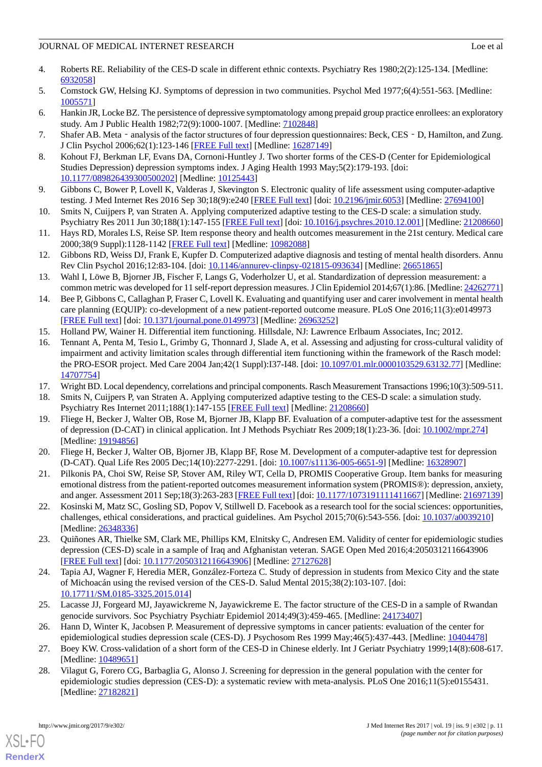- <span id="page-10-0"></span>4. Roberts RE. Reliability of the CES-D scale in different ethnic contexts. Psychiatry Res 1980;2(2):125-134. [Medline: [6932058\]](http://www.ncbi.nlm.nih.gov/entrez/query.fcgi?cmd=Retrieve&db=PubMed&list_uids=6932058&dopt=Abstract)
- <span id="page-10-2"></span><span id="page-10-1"></span>5. Comstock GW, Helsing KJ. Symptoms of depression in two communities. Psychol Med 1977;6(4):551-563. [Medline: [1005571\]](http://www.ncbi.nlm.nih.gov/entrez/query.fcgi?cmd=Retrieve&db=PubMed&list_uids=1005571&dopt=Abstract)
- <span id="page-10-3"></span>6. Hankin JR, Locke BZ. The persistence of depressive symptomatology among prepaid group practice enrollees: an exploratory study. Am J Public Health 1982;72(9):1000-1007. [Medline: [7102848](http://www.ncbi.nlm.nih.gov/entrez/query.fcgi?cmd=Retrieve&db=PubMed&list_uids=7102848&dopt=Abstract)]
- <span id="page-10-4"></span>7. Shafer AB. Meta - analysis of the factor structures of four depression questionnaires: Beck, CES - D, Hamilton, and Zung. J Clin Psychol 2006;62(1):123-146 [\[FREE Full text\]](http://doi.wiley.com/10.1002/jclp.20213) [Medline: [16287149](http://www.ncbi.nlm.nih.gov/entrez/query.fcgi?cmd=Retrieve&db=PubMed&list_uids=16287149&dopt=Abstract)]
- <span id="page-10-5"></span>8. Kohout FJ, Berkman LF, Evans DA, Cornoni-Huntley J. Two shorter forms of the CES-D (Center for Epidemiological Studies Depression) depression symptoms index. J Aging Health 1993 May;5(2):179-193. [doi: [10.1177/089826439300500202\]](http://dx.doi.org/10.1177/089826439300500202) [Medline: [10125443\]](http://www.ncbi.nlm.nih.gov/entrez/query.fcgi?cmd=Retrieve&db=PubMed&list_uids=10125443&dopt=Abstract)
- <span id="page-10-12"></span>9. Gibbons C, Bower P, Lovell K, Valderas J, Skevington S. Electronic quality of life assessment using computer-adaptive testing. J Med Internet Res 2016 Sep 30;18(9):e240 [[FREE Full text](http://www.jmir.org/2016/9/e240/)] [doi: [10.2196/jmir.6053](http://dx.doi.org/10.2196/jmir.6053)] [Medline: [27694100](http://www.ncbi.nlm.nih.gov/entrez/query.fcgi?cmd=Retrieve&db=PubMed&list_uids=27694100&dopt=Abstract)]
- <span id="page-10-6"></span>10. Smits N, Cuijpers P, van Straten A. Applying computerized adaptive testing to the CES-D scale: a simulation study. Psychiatry Res 2011 Jun 30;188(1):147-155 [[FREE Full text\]](https://linkinghub.elsevier.com/retrieve/pii/S0165-1781(10)00769-9) [doi: [10.1016/j.psychres.2010.12.001](http://dx.doi.org/10.1016/j.psychres.2010.12.001)] [Medline: [21208660](http://www.ncbi.nlm.nih.gov/entrez/query.fcgi?cmd=Retrieve&db=PubMed&list_uids=21208660&dopt=Abstract)]
- <span id="page-10-7"></span>11. Hays RD, Morales LS, Reise SP. Item response theory and health outcomes measurement in the 21st century. Medical care 2000;38(9 Suppl):1128-1142 [[FREE Full text](http://www.pubmedcentral.nih.gov/articlerender.fcgi?artid=1815384&tool=pmcentrez&rendertype=abstract)] [Medline: [10982088\]](http://www.ncbi.nlm.nih.gov/entrez/query.fcgi?cmd=Retrieve&db=PubMed&list_uids=10982088&dopt=Abstract)
- <span id="page-10-8"></span>12. Gibbons RD, Weiss DJ, Frank E, Kupfer D. Computerized adaptive diagnosis and testing of mental health disorders. Annu Rev Clin Psychol 2016;12:83-104. [doi: [10.1146/annurev-clinpsy-021815-093634](http://dx.doi.org/10.1146/annurev-clinpsy-021815-093634)] [Medline: [26651865\]](http://www.ncbi.nlm.nih.gov/entrez/query.fcgi?cmd=Retrieve&db=PubMed&list_uids=26651865&dopt=Abstract)
- <span id="page-10-9"></span>13. Wahl I, Löwe B, Bjorner JB, Fischer F, Langs G, Voderholzer U, et al. Standardization of depression measurement: a common metric was developed for 11 self-report depression measures. J Clin Epidemiol 2014;67(1):86. [Medline: [24262771](http://www.ncbi.nlm.nih.gov/entrez/query.fcgi?cmd=Retrieve&db=PubMed&list_uids=24262771&dopt=Abstract)]
- <span id="page-10-23"></span><span id="page-10-10"></span>14. Bee P, Gibbons C, Callaghan P, Fraser C, Lovell K. Evaluating and quantifying user and carer involvement in mental health care planning (EQUIP): co-development of a new patient-reported outcome measure. PLoS One 2016;11(3):e0149973 [[FREE Full text](http://dx.plos.org/10.1371/journal.pone.0149973)] [doi: [10.1371/journal.pone.0149973](http://dx.doi.org/10.1371/journal.pone.0149973)] [Medline: [26963252](http://www.ncbi.nlm.nih.gov/entrez/query.fcgi?cmd=Retrieve&db=PubMed&list_uids=26963252&dopt=Abstract)]
- 15. Holland PW, Wainer H. Differential item functioning. Hillsdale, NJ: Lawrence Erlbaum Associates, Inc; 2012.
- <span id="page-10-13"></span><span id="page-10-11"></span>16. Tennant A, Penta M, Tesio L, Grimby G, Thonnard J, Slade A, et al. Assessing and adjusting for cross-cultural validity of impairment and activity limitation scales through differential item functioning within the framework of the Rasch model: the PRO-ESOR project. Med Care 2004 Jan;42(1 Suppl):I37-I48. [doi: [10.1097/01.mlr.0000103529.63132.77\]](http://dx.doi.org/10.1097/01.mlr.0000103529.63132.77) [Medline: [14707754](http://www.ncbi.nlm.nih.gov/entrez/query.fcgi?cmd=Retrieve&db=PubMed&list_uids=14707754&dopt=Abstract)]
- <span id="page-10-14"></span>17. Wright BD. Local dependency, correlations and principal components. Rasch Measurement Transactions 1996;10(3):509-511.
- <span id="page-10-15"></span>18. Smits N, Cuijpers P, van Straten A. Applying computerized adaptive testing to the CES-D scale: a simulation study. Psychiatry Res Internet 2011;188(1):147-155 [[FREE Full text](http://www.sciencedirect.com/science/article/pii/S0165178110007699)] [Medline: [21208660\]](http://www.ncbi.nlm.nih.gov/entrez/query.fcgi?cmd=Retrieve&db=PubMed&list_uids=21208660&dopt=Abstract)
- <span id="page-10-16"></span>19. Fliege H, Becker J, Walter OB, Rose M, Bjorner JB, Klapp BF. Evaluation of a computer-adaptive test for the assessment of depression (D-CAT) in clinical application. Int J Methods Psychiatr Res 2009;18(1):23-36. [doi: [10.1002/mpr.274\]](http://dx.doi.org/10.1002/mpr.274) [Medline: [19194856](http://www.ncbi.nlm.nih.gov/entrez/query.fcgi?cmd=Retrieve&db=PubMed&list_uids=19194856&dopt=Abstract)]
- <span id="page-10-17"></span>20. Fliege H, Becker J, Walter OB, Bjorner JB, Klapp BF, Rose M. Development of a computer-adaptive test for depression (D-CAT). Qual Life Res 2005 Dec;14(10):2277-2291. [doi: [10.1007/s11136-005-6651-9\]](http://dx.doi.org/10.1007/s11136-005-6651-9) [Medline: [16328907\]](http://www.ncbi.nlm.nih.gov/entrez/query.fcgi?cmd=Retrieve&db=PubMed&list_uids=16328907&dopt=Abstract)
- <span id="page-10-18"></span>21. Pilkonis PA, Choi SW, Reise SP, Stover AM, Riley WT, Cella D, PROMIS Cooperative Group. Item banks for measuring emotional distress from the patient-reported outcomes measurement information system (PROMIS®): depression, anxiety, and anger. Assessment 2011 Sep;18(3):263-283 [[FREE Full text\]](http://europepmc.org/abstract/MED/21697139) [doi: [10.1177/1073191111411667\]](http://dx.doi.org/10.1177/1073191111411667) [Medline: [21697139](http://www.ncbi.nlm.nih.gov/entrez/query.fcgi?cmd=Retrieve&db=PubMed&list_uids=21697139&dopt=Abstract)]
- 22. Kosinski M, Matz SC, Gosling SD, Popov V, Stillwell D. Facebook as a research tool for the social sciences: opportunities, challenges, ethical considerations, and practical guidelines. Am Psychol 2015;70(6):543-556. [doi: [10.1037/a0039210\]](http://dx.doi.org/10.1037/a0039210) [Medline: [26348336](http://www.ncbi.nlm.nih.gov/entrez/query.fcgi?cmd=Retrieve&db=PubMed&list_uids=26348336&dopt=Abstract)]
- <span id="page-10-19"></span>23. Quiñones AR, Thielke SM, Clark ME, Phillips KM, Elnitsky C, Andresen EM. Validity of center for epidemiologic studies depression (CES-D) scale in a sample of Iraq and Afghanistan veteran. SAGE Open Med 2016;4:2050312116643906 [[FREE Full text](http://europepmc.org/abstract/MED/27127628)] [doi: [10.1177/2050312116643906\]](http://dx.doi.org/10.1177/2050312116643906) [Medline: [27127628](http://www.ncbi.nlm.nih.gov/entrez/query.fcgi?cmd=Retrieve&db=PubMed&list_uids=27127628&dopt=Abstract)]
- <span id="page-10-21"></span><span id="page-10-20"></span>24. Tapia AJ, Wagner F, Heredia MER, González-Forteza C. Study of depression in students from Mexico City and the state of Michoacán using the revised version of the CES-D. Salud Mental 2015;38(2):103-107. [doi: [10.17711/SM.0185-3325.2015.014](http://dx.doi.org/10.17711/SM.0185-3325.2015.014)]
- <span id="page-10-22"></span>25. Lacasse JJ, Forgeard MJ, Jayawickreme N, Jayawickreme E. The factor structure of the CES-D in a sample of Rwandan genocide survivors. Soc Psychiatry Psychiatr Epidemiol 2014;49(3):459-465. [Medline: [24173407](http://www.ncbi.nlm.nih.gov/entrez/query.fcgi?cmd=Retrieve&db=PubMed&list_uids=24173407&dopt=Abstract)]
- 26. Hann D, Winter K, Jacobsen P. Measurement of depressive symptoms in cancer patients: evaluation of the center for epidemiological studies depression scale (CES-D). J Psychosom Res 1999 May;46(5):437-443. [Medline: [10404478](http://www.ncbi.nlm.nih.gov/entrez/query.fcgi?cmd=Retrieve&db=PubMed&list_uids=10404478&dopt=Abstract)]
- 27. Boey KW. Cross-validation of a short form of the CES-D in Chinese elderly. Int J Geriatr Psychiatry 1999;14(8):608-617. [Medline: [10489651](http://www.ncbi.nlm.nih.gov/entrez/query.fcgi?cmd=Retrieve&db=PubMed&list_uids=10489651&dopt=Abstract)]
- 28. Vilagut G, Forero CG, Barbaglia G, Alonso J. Screening for depression in the general population with the center for epidemiologic studies depression (CES-D): a systematic review with meta-analysis. PLoS One 2016;11(5):e0155431. [Medline: [27182821](http://www.ncbi.nlm.nih.gov/entrez/query.fcgi?cmd=Retrieve&db=PubMed&list_uids=27182821&dopt=Abstract)]

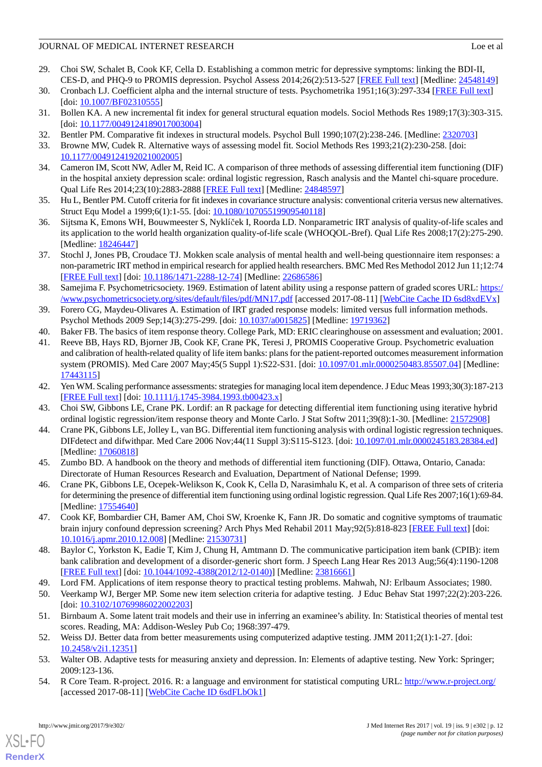- <span id="page-11-0"></span>29. Choi SW, Schalet B, Cook KF, Cella D. Establishing a common metric for depressive symptoms: linking the BDI-II, CES-D, and PHQ-9 to PROMIS depression. Psychol Assess 2014;26(2):513-527 [[FREE Full text](http://psycnet.apa.org/journals/pas/26/2/513/)] [Medline: [24548149](http://www.ncbi.nlm.nih.gov/entrez/query.fcgi?cmd=Retrieve&db=PubMed&list_uids=24548149&dopt=Abstract)]
- <span id="page-11-2"></span><span id="page-11-1"></span>30. Cronbach LJ. Coefficient alpha and the internal structure of tests. Psychometrika 1951;16(3):297-334 [\[FREE Full text\]](http://link.springer.com/article/10.1007/BF02310555) [doi: [10.1007/BF02310555](http://dx.doi.org/10.1007/BF02310555)]
- <span id="page-11-3"></span>31. Bollen KA. A new incremental fit index for general structural equation models. Sociol Methods Res 1989;17(3):303-315. [doi: [10.1177/0049124189017003004](http://dx.doi.org/10.1177/0049124189017003004)]
- <span id="page-11-4"></span>32. Bentler PM. Comparative fit indexes in structural models. Psychol Bull 1990;107(2):238-246. [Medline: [2320703](http://www.ncbi.nlm.nih.gov/entrez/query.fcgi?cmd=Retrieve&db=PubMed&list_uids=2320703&dopt=Abstract)]
- <span id="page-11-5"></span>33. Browne MW, Cudek R. Alternative ways of assessing model fit. Sociol Methods Res 1993;21(2):230-258. [doi: [10.1177/0049124192021002005\]](http://dx.doi.org/10.1177/0049124192021002005)
- <span id="page-11-6"></span>34. Cameron IM, Scott NW, Adler M, Reid IC. A comparison of three methods of assessing differential item functioning (DIF) in the hospital anxiety depression scale: ordinal logistic regression, Rasch analysis and the Mantel chi-square procedure. Qual Life Res 2014;23(10):2883-2888 [\[FREE Full text\]](http://link.springer.com/10.1007/s11136-014-0719-3) [Medline: [24848597\]](http://www.ncbi.nlm.nih.gov/entrez/query.fcgi?cmd=Retrieve&db=PubMed&list_uids=24848597&dopt=Abstract)
- <span id="page-11-7"></span>35. Hu L, Bentler PM. Cutoff criteria for fit indexes in covariance structure analysis: conventional criteria versus new alternatives. Struct Equ Model a 1999;6(1):1-55. [doi: [10.1080/10705519909540118](http://dx.doi.org/10.1080/10705519909540118)]
- <span id="page-11-8"></span>36. Sijtsma K, Emons WH, Bouwmeester S, Nyklíček I, Roorda LD. Nonparametric IRT analysis of quality-of-life scales and its application to the world health organization quality-of-life scale (WHOQOL-Bref). Qual Life Res 2008;17(2):275-290. [Medline: [18246447](http://www.ncbi.nlm.nih.gov/entrez/query.fcgi?cmd=Retrieve&db=PubMed&list_uids=18246447&dopt=Abstract)]
- <span id="page-11-9"></span>37. Stochl J, Jones PB, Croudace TJ. Mokken scale analysis of mental health and well-being questionnaire item responses: a non-parametric IRT method in empirical research for applied health researchers. BMC Med Res Methodol 2012 Jun 11;12:74 [[FREE Full text](https://bmcmedresmethodol.biomedcentral.com/articles/10.1186/1471-2288-12-74)] [doi: [10.1186/1471-2288-12-74\]](http://dx.doi.org/10.1186/1471-2288-12-74) [Medline: [22686586](http://www.ncbi.nlm.nih.gov/entrez/query.fcgi?cmd=Retrieve&db=PubMed&list_uids=22686586&dopt=Abstract)]
- <span id="page-11-10"></span>38. Samejima F. Psychometricsociety. 1969. Estimation of latent ability using a response pattern of graded scores URL: [https:/](https://www.psychometricsociety.org/sites/default/files/pdf/MN17.pdf) [/www.psychometricsociety.org/sites/default/files/pdf/MN17.pdf](https://www.psychometricsociety.org/sites/default/files/pdf/MN17.pdf) [accessed 2017-08-11] [[WebCite Cache ID 6sd8xdEVx\]](http://www.webcitation.org/

                                6sd8xdEVx)
- <span id="page-11-12"></span><span id="page-11-11"></span>39. Forero CG, Maydeu-Olivares A. Estimation of IRT graded response models: limited versus full information methods. Psychol Methods 2009 Sep;14(3):275-299. [doi: [10.1037/a0015825](http://dx.doi.org/10.1037/a0015825)] [Medline: [19719362](http://www.ncbi.nlm.nih.gov/entrez/query.fcgi?cmd=Retrieve&db=PubMed&list_uids=19719362&dopt=Abstract)]
- 40. Baker FB. The basics of item response theory. College Park, MD: ERIC clearinghouse on assessment and evaluation; 2001.
- <span id="page-11-13"></span>41. Reeve BB, Hays RD, Bjorner JB, Cook KF, Crane PK, Teresi J, PROMIS Cooperative Group. Psychometric evaluation and calibration of health-related quality of life item banks: plans for the patient-reported outcomes measurement information system (PROMIS). Med Care 2007 May;45(5 Suppl 1):S22-S31. [doi: [10.1097/01.mlr.0000250483.85507.04](http://dx.doi.org/10.1097/01.mlr.0000250483.85507.04)] [Medline: [17443115](http://www.ncbi.nlm.nih.gov/entrez/query.fcgi?cmd=Retrieve&db=PubMed&list_uids=17443115&dopt=Abstract)]
- <span id="page-11-15"></span><span id="page-11-14"></span>42. Yen WM. Scaling performance assessments: strategies for managing local item dependence. J Educ Meas 1993;30(3):187-213 [[FREE Full text](http://onlinelibrary.wiley.com/doi/10.1111/j.1745-3984.1993.tb00423.x/abstract)] [doi: [10.1111/j.1745-3984.1993.tb00423.x\]](http://dx.doi.org/10.1111/j.1745-3984.1993.tb00423.x)
- <span id="page-11-16"></span>43. Choi SW, Gibbons LE, Crane PK. Lordif: an R package for detecting differential item functioning using iterative hybrid ordinal logistic regression/item response theory and Monte Carlo. J Stat Softw 2011;39(8):1-30. [Medline: [21572908\]](http://www.ncbi.nlm.nih.gov/entrez/query.fcgi?cmd=Retrieve&db=PubMed&list_uids=21572908&dopt=Abstract)
- <span id="page-11-17"></span>44. Crane PK, Gibbons LE, Jolley L, van BG. Differential item functioning analysis with ordinal logistic regression techniques. DIFdetect and difwithpar. Med Care 2006 Nov;44(11 Suppl 3):S115-S123. [doi: [10.1097/01.mlr.0000245183.28384.ed](http://dx.doi.org/10.1097/01.mlr.0000245183.28384.ed)] [Medline: [17060818](http://www.ncbi.nlm.nih.gov/entrez/query.fcgi?cmd=Retrieve&db=PubMed&list_uids=17060818&dopt=Abstract)]
- <span id="page-11-18"></span>45. Zumbo BD. A handbook on the theory and methods of differential item functioning (DIF). Ottawa, Ontario, Canada: Directorate of Human Resources Research and Evaluation, Department of National Defense; 1999.
- <span id="page-11-19"></span>46. Crane PK, Gibbons LE, Ocepek-Welikson K, Cook K, Cella D, Narasimhalu K, et al. A comparison of three sets of criteria for determining the presence of differential item functioning using ordinal logistic regression. Qual Life Res 2007;16(1):69-84. [Medline: [17554640](http://www.ncbi.nlm.nih.gov/entrez/query.fcgi?cmd=Retrieve&db=PubMed&list_uids=17554640&dopt=Abstract)]
- <span id="page-11-20"></span>47. Cook KF, Bombardier CH, Bamer AM, Choi SW, Kroenke K, Fann JR. Do somatic and cognitive symptoms of traumatic brain injury confound depression screening? Arch Phys Med Rehabil 2011 May;92(5):818-823 [[FREE Full text](http://europepmc.org/abstract/MED/21530731)] [doi: [10.1016/j.apmr.2010.12.008\]](http://dx.doi.org/10.1016/j.apmr.2010.12.008) [Medline: [21530731](http://www.ncbi.nlm.nih.gov/entrez/query.fcgi?cmd=Retrieve&db=PubMed&list_uids=21530731&dopt=Abstract)]
- <span id="page-11-22"></span><span id="page-11-21"></span>48. Baylor C, Yorkston K, Eadie T, Kim J, Chung H, Amtmann D. The communicative participation item bank (CPIB): item bank calibration and development of a disorder-generic short form. J Speech Lang Hear Res 2013 Aug;56(4):1190-1208 [[FREE Full text](http://europepmc.org/abstract/MED/23816661)] [doi: [10.1044/1092-4388\(2012/12-0140\)\]](http://dx.doi.org/10.1044/1092-4388(2012/12-0140)) [Medline: [23816661\]](http://www.ncbi.nlm.nih.gov/entrez/query.fcgi?cmd=Retrieve&db=PubMed&list_uids=23816661&dopt=Abstract)
- <span id="page-11-23"></span>49. Lord FM. Applications of item response theory to practical testing problems. Mahwah, NJ: Erlbaum Associates; 1980.
- <span id="page-11-24"></span>50. Veerkamp WJ, Berger MP. Some new item selection criteria for adaptive testing. J Educ Behav Stat 1997;22(2):203-226. [doi: [10.3102/10769986022002203](http://dx.doi.org/10.3102/10769986022002203)]
- <span id="page-11-25"></span>51. Birnbaum A. Some latent trait models and their use in inferring an examinee's ability. In: Statistical theories of mental test scores. Reading, MA: Addison-Wesley Pub Co; 1968:397-479.
- 52. Weiss DJ. Better data from better measurements using computerized adaptive testing. JMM 2011;2(1):1-27. [doi: [10.2458/v2i1.12351](http://dx.doi.org/10.2458/v2i1.12351)]
- 53. Walter OB. Adaptive tests for measuring anxiety and depression. In: Elements of adaptive testing. New York: Springer; 2009:123-136.
- 54. R Core Team. R-project. 2016. R: a language and environment for statistical computing URL:<http://www.r-project.org/> [accessed 2017-08-11] [\[WebCite Cache ID 6sdFLbOk1\]](http://www.webcitation.org/

                                6sdFLbOk1)

[XSL](http://www.w3.org/Style/XSL)•FO **[RenderX](http://www.renderx.com/)**